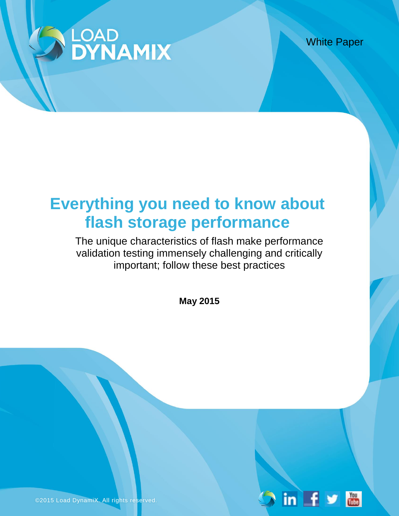

White Paper

 $\overline{\mathbf{m}}$   $\overline{\mathbf{f}}$ 

 $\frac{Y_{0U}}{U_{0U}}$ 

# **Everything you need to know about flash storage performance**

The unique characteristics of flash make performance validation testing immensely challenging and critically important; follow these best practices

**May 2015**

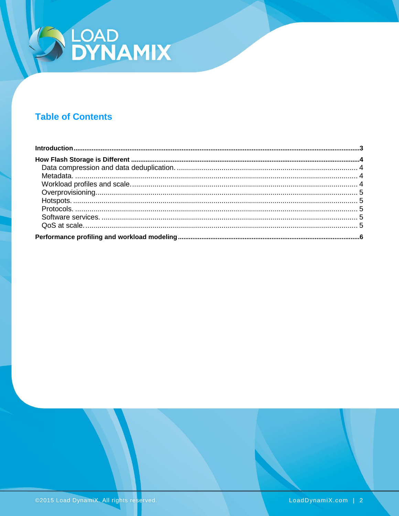

# **Table of Contents**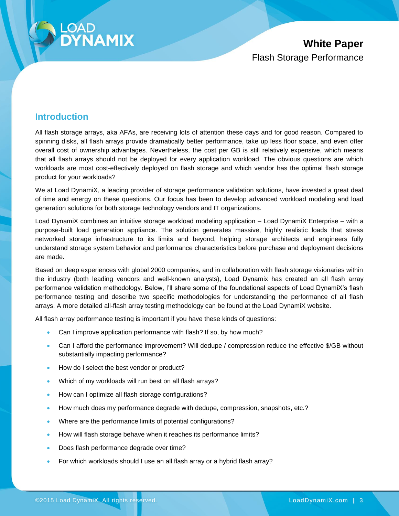

# <span id="page-2-0"></span>**Introduction**

All flash storage arrays, aka AFAs, are receiving lots of attention these days and for good reason. Compared to spinning disks, all flash arrays provide dramatically better performance, take up less floor space, and even offer overall cost of ownership advantages. Nevertheless, the cost per GB is still relatively expensive, which means that all flash arrays should not be deployed for every application workload. The obvious questions are which workloads are most cost-effectively deployed on flash storage and which vendor has the optimal flash storage product for your workloads?

We at Load DynamiX, a leading provider of storage performance validation solutions, have invested a great deal of time and energy on these questions. Our focus has been to develop advanced workload modeling and load generation solutions for both storage technology vendors and IT organizations.

Load DynamiX combines an intuitive storage workload modeling application – Load DynamiX Enterprise – with a purpose-built load generation appliance. The solution generates massive, highly realistic loads that stress networked storage infrastructure to its limits and beyond, helping storage architects and engineers fully understand storage system behavior and performance characteristics before purchase and deployment decisions are made.

Based on deep experiences with global 2000 companies, and in collaboration with flash storage visionaries within the industry (both leading vendors and well-known analysts), Load Dynamix has created an all flash array performance validation methodology. Below, I'll share some of the foundational aspects of Load DynamiX's flash performance testing and describe two specific methodologies for understanding the performance of all flash arrays. A more detailed all-flash array testing methodology can be found at the Load DynamiX website.

All flash array performance testing is important if you have these kinds of questions:

- Can I improve application performance with flash? If so, by how much?
- Can I afford the performance improvement? Will dedupe / compression reduce the effective \$/GB without substantially impacting performance?
- How do I select the best vendor or product?
- Which of my workloads will run best on all flash arrays?
- How can I optimize all flash storage configurations?
- How much does my performance degrade with dedupe, compression, snapshots, etc.?
- Where are the performance limits of potential configurations?
- How will flash storage behave when it reaches its performance limits?
- Does flash performance degrade over time?
- For which workloads should I use an all flash array or a hybrid flash array?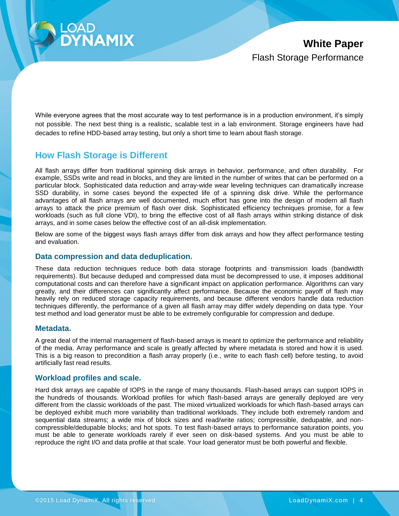

While everyone agrees that the most accurate way to test performance is in a production environment, it's simply not possible. The next best thing is a realistic, scalable test in a lab environment. Storage engineers have had decades to refine HDD-based array testing, but only a short time to learn about flash storage.

## <span id="page-3-0"></span>**How Flash Storage is Different**

All flash arrays differ from traditional spinning disk arrays in behavior, performance, and often durability. For example, SSDs write and read in blocks, and they are limited in the number of writes that can be performed on a particular block. Sophisticated data reduction and array-wide wear leveling techniques can dramatically increase SSD durability, in some cases beyond the expected life of a spinning disk drive. While the performance advantages of all flash arrays are well documented, much effort has gone into the design of modern all flash arrays to attack the price premium of flash over disk. Sophisticated efficiency techniques promise, for a few workloads (such as full clone VDI), to bring the effective cost of all flash arrays within striking distance of disk arrays, and in some cases below the effective cost of an all-disk implementation.

Below are some of the biggest ways flash arrays differ from disk arrays and how they affect performance testing and evaluation.

#### <span id="page-3-1"></span>**Data compression and data deduplication.**

These data reduction techniques reduce both data storage footprints and transmission loads (bandwidth requirements). But because deduped and compressed data must be decompressed to use, it imposes additional computational costs and can therefore have a significant impact on application performance. Algorithms can vary greatly, and their differences can significantly affect performance. Because the economic payoff of flash may heavily rely on reduced storage capacity requirements, and because different vendors handle data reduction techniques differently, the performance of a given all flash array may differ widely depending on data type. Your test method and load generator must be able to be extremely configurable for compression and dedupe.

#### <span id="page-3-2"></span>**Metadata.**

A great deal of the internal management of flash-based arrays is meant to optimize the performance and reliability of the media. Array performance and scale is greatly affected by where metadata is stored and how it is used. This is a big reason to precondition a flash array properly (i.e., write to each flash cell) before testing, to avoid artificially fast read results.

#### <span id="page-3-3"></span>**Workload profiles and scale.**

Hard disk arrays are capable of IOPS in the range of many thousands. Flash-based arrays can support IOPS in the hundreds of thousands. Workload profiles for which flash-based arrays are generally deployed are very different from the classic workloads of the past. The mixed virtualized workloads for which flash-based arrays can be deployed exhibit much more variability than traditional workloads. They include both extremely random and sequential data streams; a wide mix of block sizes and read/write ratios; compressible, dedupable, and noncompressible/dedupable blocks; and hot spots. To test flash-based arrays to performance saturation points, you must be able to generate workloads rarely if ever seen on disk-based systems. And you must be able to reproduce the right I/O and data profile at that scale. Your load generator must be both powerful and flexible.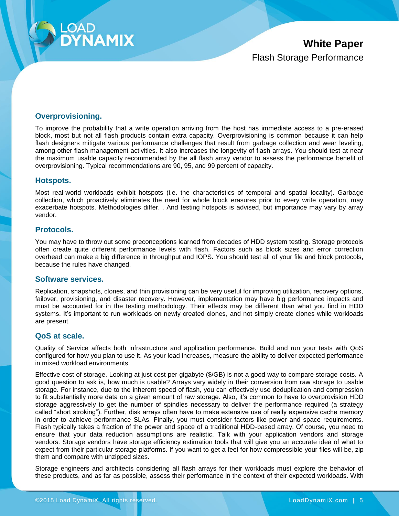

#### <span id="page-4-0"></span>**Overprovisioning.**

To improve the probability that a write operation arriving from the host has immediate access to a pre-erased block, most but not all flash products contain extra capacity. Overprovisioning is common because it can help flash designers mitigate various performance challenges that result from garbage collection and wear leveling, among other flash management activities. It also increases the longevity of flash arrays. You should test at near the maximum usable capacity recommended by the all flash array vendor to assess the performance benefit of overprovisioning. Typical recommendations are 90, 95, and 99 percent of capacity.

#### <span id="page-4-1"></span>**Hotspots.**

Most real-world workloads exhibit hotspots (i.e. the characteristics of temporal and spatial locality). Garbage collection, which proactively eliminates the need for whole block erasures prior to every write operation, may exacerbate hotspots. Methodologies differ. . And testing hotspots is advised, but importance may vary by array vendor.

#### <span id="page-4-2"></span>**Protocols.**

You may have to throw out some preconceptions learned from decades of HDD system testing. Storage protocols often create quite different performance levels with flash. Factors such as block sizes and error correction overhead can make a big difference in throughput and IOPS. You should test all of your file and block protocols, because the rules have changed.

#### <span id="page-4-3"></span>**Software services.**

Replication, snapshots, clones, and thin provisioning can be very useful for improving utilization, recovery options, failover, provisioning, and disaster recovery. However, implementation may have big performance impacts and must be accounted for in the testing methodology. Their effects may be different than what you find in HDD systems. It's important to run workloads on newly created clones, and not simply create clones while workloads are present.

#### <span id="page-4-4"></span>**QoS at scale.**

Quality of Service affects both infrastructure and application performance. Build and run your tests with QoS configured for how you plan to use it. As your load increases, measure the ability to deliver expected performance in mixed workload environments.

Effective cost of storage. Looking at just cost per gigabyte (\$/GB) is not a good way to compare storage costs. A good question to ask is, how much is usable? Arrays vary widely in their conversion from raw storage to usable storage. For instance, due to the inherent speed of flash, you can effectively use deduplication and compression to fit substantially more data on a given amount of raw storage. Also, it's common to have to overprovision HDD storage aggressively to get the number of spindles necessary to deliver the performance required (a strategy called "short stroking"). Further, disk arrays often have to make extensive use of really expensive cache memory in order to achieve performance SLAs. Finally, you must consider factors like power and space requirements. Flash typically takes a fraction of the power and space of a traditional HDD-based array. Of course, you need to ensure that your data reduction assumptions are realistic. Talk with your application vendors and storage vendors. Storage vendors have storage efficiency estimation tools that will give you an accurate idea of what to expect from their particular storage platforms. If you want to get a feel for how compressible your files will be, zip them and compare with unzipped sizes.

Storage engineers and architects considering all flash arrays for their workloads must explore the behavior of these products, and as far as possible, assess their performance in the context of their expected workloads. With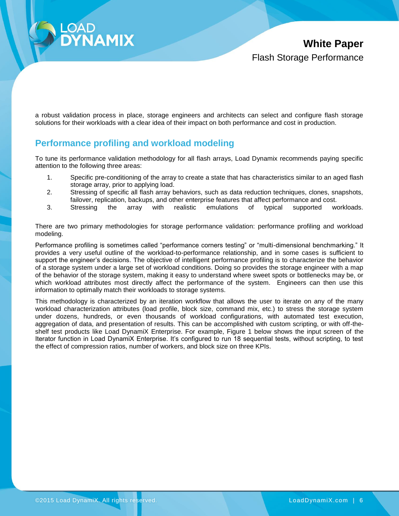

a robust validation process in place, storage engineers and architects can select and configure flash storage solutions for their workloads with a clear idea of their impact on both performance and cost in production.

### <span id="page-5-0"></span>**Performance profiling and workload modeling**

To tune its performance validation methodology for all flash arrays, Load Dynamix recommends paying specific attention to the following three areas:

- 1. Specific pre-conditioning of the array to create a state that has characteristics similar to an aged flash storage array, prior to applying load.
- 2. Stressing of specific all flash array behaviors, such as data reduction techniques, clones, snapshots, failover, replication, backups, and other enterprise features that affect performance and cost.
- 3. Stressing the array with realistic emulations of typical supported workloads.

There are two primary methodologies for storage performance validation: performance profiling and workload modeling.

Performance profiling is sometimes called "performance corners testing" or "multi-dimensional benchmarking." It provides a very useful outline of the workload-to-performance relationship, and in some cases is sufficient to support the engineer's decisions. The objective of intelligent performance profiling is to characterize the behavior of a storage system under a large set of workload conditions. Doing so provides the storage engineer with a map of the behavior of the storage system, making it easy to understand where sweet spots or bottlenecks may be, or which workload attributes most directly affect the performance of the system. Engineers can then use this information to optimally match their workloads to storage systems.

This methodology is characterized by an iteration workflow that allows the user to iterate on any of the many workload characterization attributes (load profile, block size, command mix, etc.) to stress the storage system under dozens, hundreds, or even thousands of workload configurations, with automated test execution, aggregation of data, and presentation of results. This can be accomplished with custom scripting, or with off-theshelf test products like Load DynamiX Enterprise. For example, Figure 1 below shows the input screen of the Iterator function in Load DynamiX Enterprise. It's configured to run 18 sequential tests, without scripting, to test the effect of compression ratios, number of workers, and block size on three KPIs.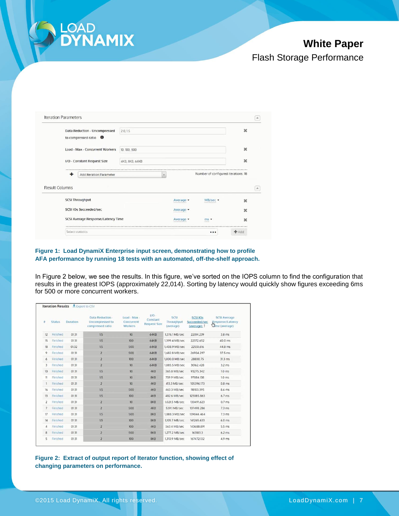

# **White Paper**

Flash Storage Performance

|                       | <b>Iteration Parameters</b>        |                |           |                                     |                          |
|-----------------------|------------------------------------|----------------|-----------|-------------------------------------|--------------------------|
|                       | Data Reduction - Uncompressed      | 2.0, 1.5       |           |                                     | ×                        |
|                       | to compressed ratio <sup>O</sup>   |                |           |                                     |                          |
|                       | Load - Max - Concurrent Workers    | 10, 100, 500   |           |                                     | ×                        |
|                       | I/O - Constant Request Size        | 4KB, 8KB, 64KB |           |                                     | ×                        |
|                       |                                    |                |           |                                     |                          |
|                       | ۰<br>Add Iteration Parameter       |                | ×         | Number of configured iterations: 18 |                          |
|                       |                                    |                |           |                                     |                          |
|                       | <b>SCSI Throughput</b>             |                | Average • | MB/sec -                            | $\mathbf x$              |
|                       | <b>SCSI IOs Succeeded/sec</b>      |                | Average - |                                     | $\boldsymbol{\varkappa}$ |
| <b>Result Columns</b> | SCSI Average Response/Latency Time |                | Average • | $ms -$<br><b>Lisbons</b>            | ×                        |

#### **Figure 1: Load DynamiX Enterprise input screen, demonstrating how to profile AFA performance by running 18 tests with an automated, off-the-shelf approach.**

In Figure 2 below, we see the results. In this figure, we've sorted on the IOPS column to find the configuration that results in the greatest IOPS (approximately 22,014). Sorting by latency would quickly show figures exceeding 6ms for 500 or more concurrent workers.

| 並              | <b>Status</b> | Duration | Data Reduction -<br>Uncompressed to<br>compressed ratio | Load - Max -<br>Concurrent<br><b>Workers</b> | $1/O -$<br>Constant<br><b>Request Size</b> | SCSI<br>Throughput<br>(average) | <b>SCSI IOS</b><br>Succeeded/sec<br>(average) 1 | <b>SCSI Average</b><br>Response/Latency<br><b>Ulme</b> (average) |
|----------------|---------------|----------|---------------------------------------------------------|----------------------------------------------|--------------------------------------------|---------------------------------|-------------------------------------------------|------------------------------------------------------------------|
| 12             | Finished      | 01:31    | 15                                                      | 10                                           | 64KB                                       | 1,376.1 MB/sec                  | 22014.239                                       | $3.8$ ms                                                         |
| 15             | Finished      | 01:31    | 1.5                                                     | 100                                          | 64KB                                       | 1,399.4 MB/sec                  | 22372.652                                       | 40.0 ms                                                          |
| 18             | Finished      | 01:32    | 1.5                                                     | 500                                          | 64KB                                       | 1,408.9 MB/sec                  | 22551.616                                       | 44.8 ms                                                          |
| 9              | Finished      | 01:31    | $\overline{2}$                                          | 500                                          | 64KB                                       | 1,682.8 MB/sec                  | 26904.297                                       | 37.5 ms                                                          |
| 6              | Finished      | 01:31    | $\overline{2}$                                          | 100                                          | 64KB                                       | 1,800.0 MB/sec                  | 28800.75                                        | $31.3$ ms                                                        |
| 3              | Finished      | 01:31    | $\overline{2}$                                          | 10                                           | <b>64KB</b>                                | 1,885.5 MB/sec                  | 30162,428                                       | $3.2$ ms                                                         |
| 10             | Finished      | 01:31    | 1.5                                                     | 10                                           | 4KB                                        | 365.8 MB/sec                    | 93275.342                                       | 1.0 <sub>ms</sub>                                                |
| 11             | Finished      | 01:31    | 1.5                                                     | 10                                           | 8KB                                        | 759.9 MB/sec                    | 97084.138                                       | $1.0$ ms                                                         |
| 1              | Finished      | 01:31    | $\overline{2}$                                          | 10                                           | 4KB                                        | 413.3 MB/sec                    | 105396.173                                      | $0.8$ ms                                                         |
| 16             | Finished      | 01:31    | 1.5                                                     | 500                                          | 4KB                                        | 463.3 MB/sec                    | 118103.395                                      | 8.6 ms                                                           |
| 13             | Finished      | 01:31    | 1.5                                                     | 100                                          | 4KB                                        | 482.6 MB/sec                    | 123085.863                                      | $6.7$ ms                                                         |
| $\overline{2}$ | Finished      | 01:31    | $\overline{z}$                                          | 10                                           | 8KB                                        | 1.021.5 MB/sec                  | 130491.623                                      | 0.7 <sub>ms</sub>                                                |
| 7              | Finished      | 01:31    | $\overline{2}$                                          | 500                                          | 4KB                                        | 539.1 MB/sec                    | 137498.286                                      | $7.3 \, \text{ms}$                                               |
| 17             | Finished      | 01:31    | 1.5                                                     | 500                                          | 8KB                                        | 1,088.3 MB/sec                  | 139044.464                                      | $7.3$ ms                                                         |
| 14             | Finished      | 01:31    | 1.5                                                     | 100                                          | 8KB                                        | 1,105.7 MB/sec                  | 141265.633                                      | $6.0$ ms                                                         |
| 4              | Finished      | 01:31    | $\overline{2}$                                          | 100                                          | 4KB                                        | 563.4 MB/sec                    | 143688.891                                      | 5.5 ms                                                           |
| 8              | Finished      | 01:31    | $\overline{z}$                                          | 500                                          | 8KB                                        | 1,277.2 MB/sec                  | 163183.3                                        | $6.2$ ms                                                         |
| 5              | Finished      | 01:31    | $\overline{2}$                                          | 100                                          | 8KB                                        | 1,310.9 MB/sec                  | 167472.132                                      | 4.9 ms                                                           |

**Figure 2: Extract of output report of Iterator function, showing effect of changing parameters on performance.**